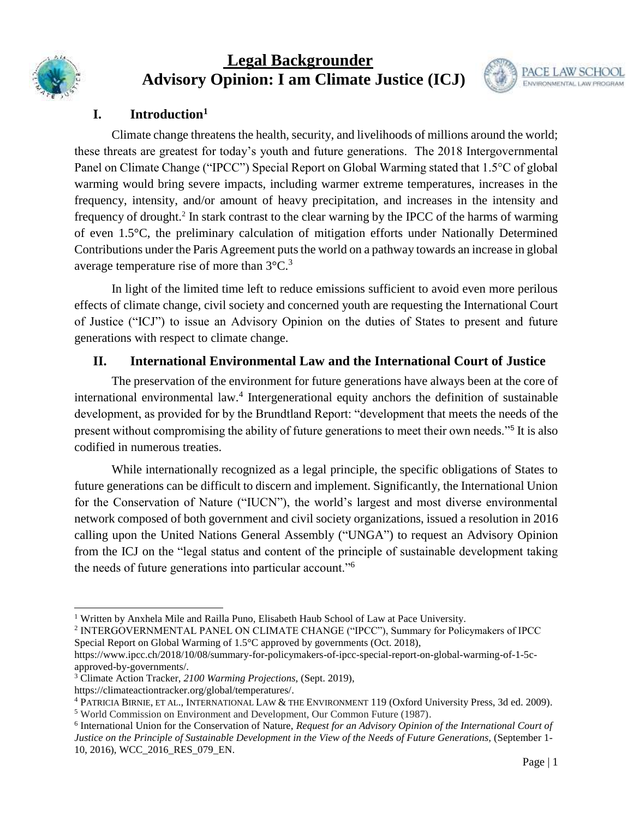

# **Legal Backgrounder Advisory Opinion: I am Climate Justice (ICJ)**



## **I. Introduction<sup>1</sup>**

Climate change threatens the health, security, and livelihoods of millions around the world; these threats are greatest for today's youth and future generations. The 2018 Intergovernmental Panel on Climate Change ("IPCC") Special Report on Global Warming stated that 1.5°C of global warming would bring severe impacts, including warmer extreme temperatures, increases in the frequency, intensity, and/or amount of heavy precipitation, and increases in the intensity and frequency of drought.<sup>2</sup> In stark contrast to the clear warning by the IPCC of the harms of warming of even 1.5°C, the preliminary calculation of mitigation efforts under Nationally Determined Contributions under the Paris Agreement puts the world on a pathway towards an increase in global average temperature rise of more than  $3^{\circ}$ C.<sup>3</sup>

In light of the limited time left to reduce emissions sufficient to avoid even more perilous effects of climate change, civil society and concerned youth are requesting the International Court of Justice ("ICJ") to issue an Advisory Opinion on the duties of States to present and future generations with respect to climate change.

## **II. International Environmental Law and the International Court of Justice**

The preservation of the environment for future generations have always been at the core of international environmental law.<sup>4</sup> Intergenerational equity anchors the definition of sustainable development, as provided for by the Brundtland Report: "development that meets the needs of the present without compromising the ability of future generations to meet their own needs."<sup>5</sup> It is also codified in numerous treaties.

While internationally recognized as a legal principle, the specific obligations of States to future generations can be difficult to discern and implement. Significantly, the International Union for the Conservation of Nature ("IUCN"), the world's largest and most diverse environmental network composed of both government and civil society organizations, issued a resolution in 2016 calling upon the United Nations General Assembly ("UNGA") to request an Advisory Opinion from the ICJ on the "legal status and content of the principle of sustainable development taking the needs of future generations into particular account."<sup>6</sup>

 <sup>1</sup> Written by Anxhela Mile and Railla Puno, Elisabeth Haub School of Law at Pace University.

<sup>2</sup> INTERGOVERNMENTAL PANEL ON CLIMATE CHANGE ("IPCC"), Summary for Policymakers of IPCC Special Report on Global Warming of 1.5°C approved by governments (Oct. 2018)[,](https://www.ipcc.ch/2018/10/08/summary-for-policymakers-of-ipcc-special-report-on-global-warming-of-1-5c-approved-by-governments/)

[https://www.ipcc.ch/2018/10/08/summary-for-policymakers-of-ipcc-special-report-on-global-warming-of-1-5c](https://www.ipcc.ch/2018/10/08/summary-for-policymakers-of-ipcc-special-report-on-global-warming-of-1-5c-approved-by-governments/)[approved-by-governments/.](https://www.ipcc.ch/2018/10/08/summary-for-policymakers-of-ipcc-special-report-on-global-warming-of-1-5c-approved-by-governments/)

<sup>3</sup> Climate Action Tracker, *2100 Warming Projections,* (Sept. 2019), [https://climateactiontracker.org/global/temperatures/.](https://climateactiontracker.org/global/temperatures/)

<sup>4</sup> PATRICIA BIRNIE, ET AL., INTERNATIONAL LAW & THE ENVIRONMENT 119 (Oxford University Press, 3d ed. 2009). <sup>5</sup> World Commission on Environment and Development, Our Common Future (1987).

<sup>&</sup>lt;sup>6</sup> International Union for the Conservation of Nature, *Request for an Advisory Opinion of the International Court of Justice on the Principle of Sustainable Development in the View of the Needs of Future Generations, (September 1-*10, 2016), WCC\_2016\_RES\_079\_EN.